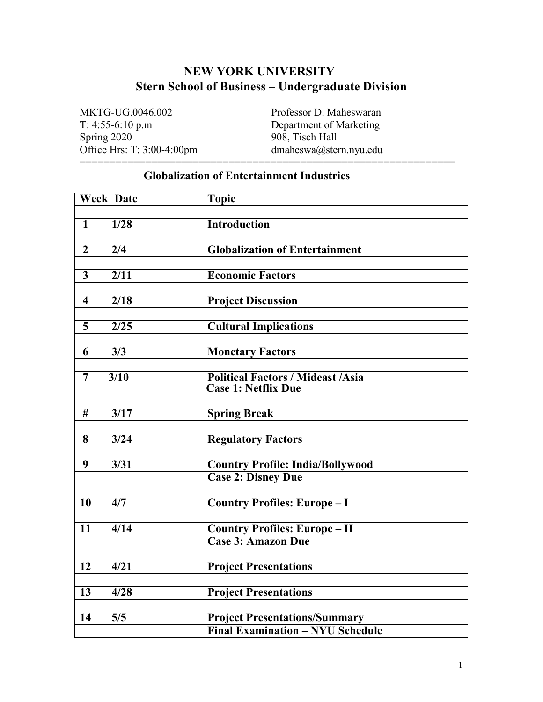# **NEW YORK UNIVERSITY Stern School of Business – Undergraduate Division**

===============================================================

MKTG-UG.0046.002 Professor D. Maheswaran T: 4:55-6:10 p.m Department of Marketing Office Hrs: T:  $3:00-4:00$ pm

Spring 2020<br>
Office Hrs: T: 3:00-4:00pm<br>
dmaheswa@stern.nyu.edu<br>
dmaheswa@stern.nyu.edu

## **Globalization of Entertainment Industries**

| <b>Week Date</b>        |                                        | <b>Topic</b>                                                           |
|-------------------------|----------------------------------------|------------------------------------------------------------------------|
|                         |                                        |                                                                        |
| $\mathbf{1}$            | $\overline{1/28}$                      | <b>Introduction</b>                                                    |
|                         |                                        |                                                                        |
| $\overline{2}$          | $\overline{2/4}$                       | <b>Globalization of Entertainment</b>                                  |
| $\mathbf{3}$            | 2/11                                   | <b>Economic Factors</b>                                                |
|                         |                                        |                                                                        |
| $\overline{\mathbf{4}}$ | $\sqrt{2/18}$                          | <b>Project Discussion</b>                                              |
|                         |                                        |                                                                        |
| 5                       | $\sqrt{2/25}$                          | <b>Cultural Implications</b>                                           |
|                         |                                        |                                                                        |
| 6                       | $\overline{3/3}$                       | <b>Monetary Factors</b>                                                |
|                         | $\frac{3}{10}$                         |                                                                        |
| 7                       |                                        | <b>Political Factors / Mideast /Asia</b><br><b>Case 1: Netflix Due</b> |
|                         |                                        |                                                                        |
| $\overline{\#}$         | $\overline{3/17}$                      | <b>Spring Break</b>                                                    |
|                         |                                        |                                                                        |
| 8                       | $\frac{3}{24}$                         | <b>Regulatory Factors</b>                                              |
|                         |                                        |                                                                        |
| 9                       | $\overline{3/31}$                      | <b>Country Profile: India/Bollywood</b>                                |
|                         |                                        | <b>Case 2: Disney Due</b>                                              |
| $\overline{10}$         | $\overline{4/7}$                       | <b>Country Profiles: Europe-I</b>                                      |
|                         |                                        |                                                                        |
| 11                      | 4/14                                   | <b>Country Profiles: Europe - II</b>                                   |
|                         |                                        | <b>Case 3: Amazon Due</b>                                              |
|                         |                                        |                                                                        |
| $\overline{12}$         | $\overline{4/21}$                      | <b>Project Presentations</b>                                           |
| $\overline{13}$         | $\overline{4/28}$                      |                                                                        |
|                         |                                        | <b>Project Presentations</b>                                           |
| 14                      | $\overline{\overline{\overline{5}}/5}$ | <b>Project Presentations/Summary</b>                                   |
|                         |                                        | <b>Final Examination - NYU Schedule</b>                                |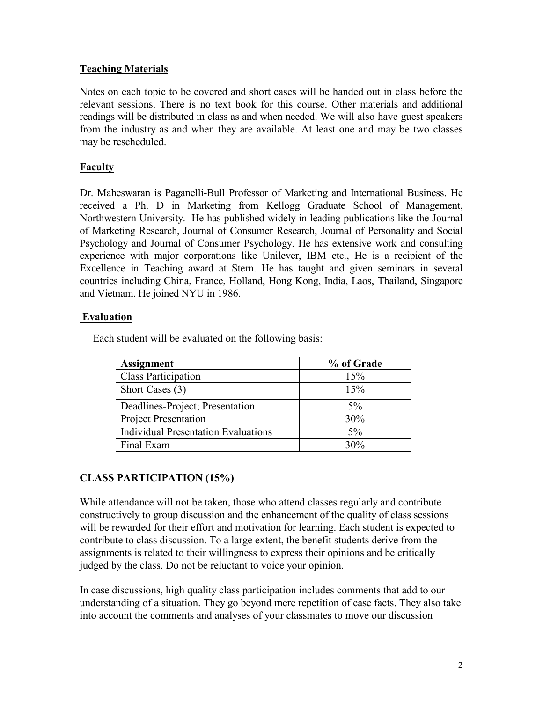## **Teaching Materials**

Notes on each topic to be covered and short cases will be handed out in class before the relevant sessions. There is no text book for this course. Other materials and additional readings will be distributed in class as and when needed. We will also have guest speakers from the industry as and when they are available. At least one and may be two classes may be rescheduled.

## **Faculty**

Dr. Maheswaran is Paganelli-Bull Professor of Marketing and International Business. He received a Ph. D in Marketing from Kellogg Graduate School of Management, Northwestern University. He has published widely in leading publications like the Journal of Marketing Research, Journal of Consumer Research, Journal of Personality and Social Psychology and Journal of Consumer Psychology. He has extensive work and consulting experience with major corporations like Unilever, IBM etc., He is a recipient of the Excellence in Teaching award at Stern. He has taught and given seminars in several countries including China, France, Holland, Hong Kong, India, Laos, Thailand, Singapore and Vietnam. He joined NYU in 1986.

## **Evaluation**

Each student will be evaluated on the following basis:

| <b>Assignment</b>                          | % of Grade |
|--------------------------------------------|------------|
| <b>Class Participation</b>                 | 15%        |
| Short Cases (3)                            | 15%        |
| Deadlines-Project; Presentation            | $5\%$      |
| <b>Project Presentation</b>                | 30%        |
| <b>Individual Presentation Evaluations</b> | $5\%$      |
| Final Exam                                 | 30%        |

## **CLASS PARTICIPATION (15%)**

While attendance will not be taken, those who attend classes regularly and contribute constructively to group discussion and the enhancement of the quality of class sessions will be rewarded for their effort and motivation for learning. Each student is expected to contribute to class discussion. To a large extent, the benefit students derive from the assignments is related to their willingness to express their opinions and be critically judged by the class. Do not be reluctant to voice your opinion.

In case discussions, high quality class participation includes comments that add to our understanding of a situation. They go beyond mere repetition of case facts. They also take into account the comments and analyses of your classmates to move our discussion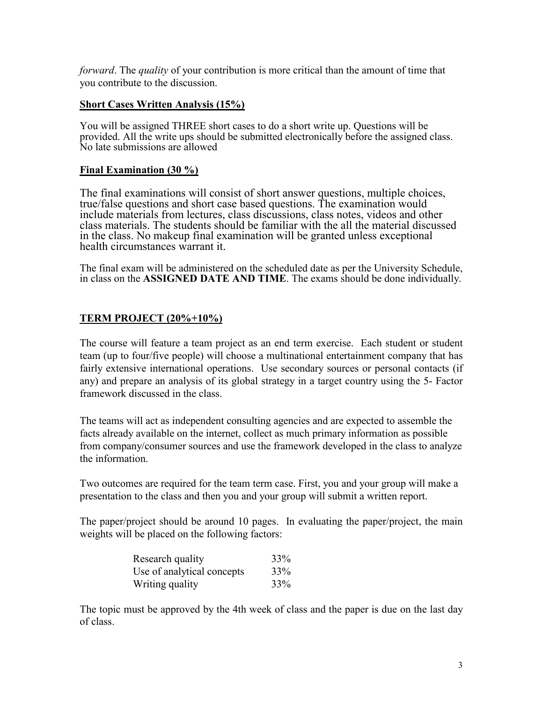*forward*. The *quality* of your contribution is more critical than the amount of time that you contribute to the discussion.

### **Short Cases Written Analysis (15%)**

You will be assigned THREE short cases to do a short write up. Questions will be provided. All the write ups should be submitted electronically before the assigned class. No late submissions are allowed

#### **Final Examination (30 %)**

The final examinations will consist of short answer questions, multiple choices, true/false questions and short case based questions. The examination would include materials from lectures, class discussions, class notes, videos and other class materials. The students should be familiar with the all the material discussed in the class. No makeup final examination will be granted unless exceptional health circumstances warrant it.

The final exam will be administered on the scheduled date as per the University Schedule, in class on the **ASSIGNED DATE AND TIME**. The exams should be done individually.

## **TERM PROJECT (20%+10%)**

The course will feature a team project as an end term exercise. Each student or student team (up to four/five people) will choose a multinational entertainment company that has fairly extensive international operations. Use secondary sources or personal contacts (if any) and prepare an analysis of its global strategy in a target country using the 5- Factor framework discussed in the class.

The teams will act as independent consulting agencies and are expected to assemble the facts already available on the internet, collect as much primary information as possible from company/consumer sources and use the framework developed in the class to analyze the information.

Two outcomes are required for the team term case. First, you and your group will make a presentation to the class and then you and your group will submit a written report.

The paper/project should be around 10 pages. In evaluating the paper/project, the main weights will be placed on the following factors:

| Research quality           | 33% |
|----------------------------|-----|
| Use of analytical concepts | 33% |
| Writing quality            | 33% |

The topic must be approved by the 4th week of class and the paper is due on the last day of class.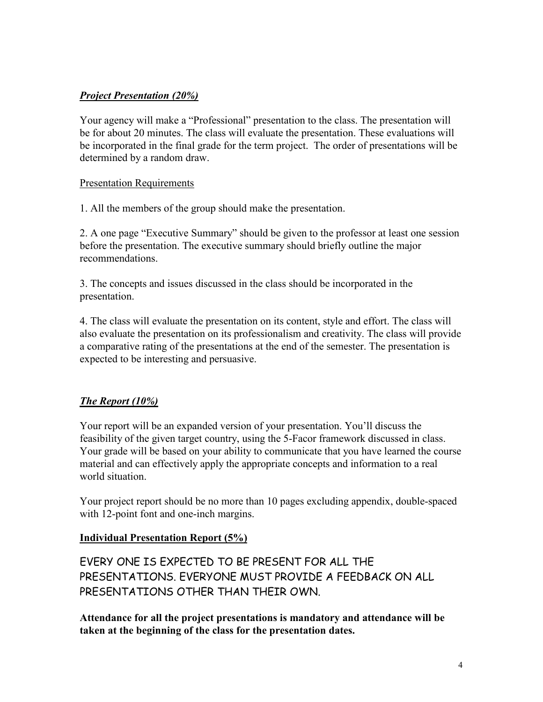## *Project Presentation (20%)*

Your agency will make a "Professional" presentation to the class. The presentation will be for about 20 minutes. The class will evaluate the presentation. These evaluations will be incorporated in the final grade for the term project. The order of presentations will be determined by a random draw.

#### Presentation Requirements

1. All the members of the group should make the presentation.

2. A one page "Executive Summary" should be given to the professor at least one session before the presentation. The executive summary should briefly outline the major recommendations.

3. The concepts and issues discussed in the class should be incorporated in the presentation.

4. The class will evaluate the presentation on its content, style and effort. The class will also evaluate the presentation on its professionalism and creativity. The class will provide a comparative rating of the presentations at the end of the semester. The presentation is expected to be interesting and persuasive.

## *The Report (10%)*

Your report will be an expanded version of your presentation. You'll discuss the feasibility of the given target country, using the 5-Facor framework discussed in class. Your grade will be based on your ability to communicate that you have learned the course material and can effectively apply the appropriate concepts and information to a real world situation.

Your project report should be no more than 10 pages excluding appendix, double-spaced with 12-point font and one-inch margins.

## **Individual Presentation Report (5%)**

EVERY ONE IS EXPECTED TO BE PRESENT FOR ALL THE PRESENTATIONS. EVERYONE MUST PROVIDE A FEEDBACK ON ALL PRESENTATIONS OTHER THAN THEIR OWN.

**Attendance for all the project presentations is mandatory and attendance will be taken at the beginning of the class for the presentation dates.**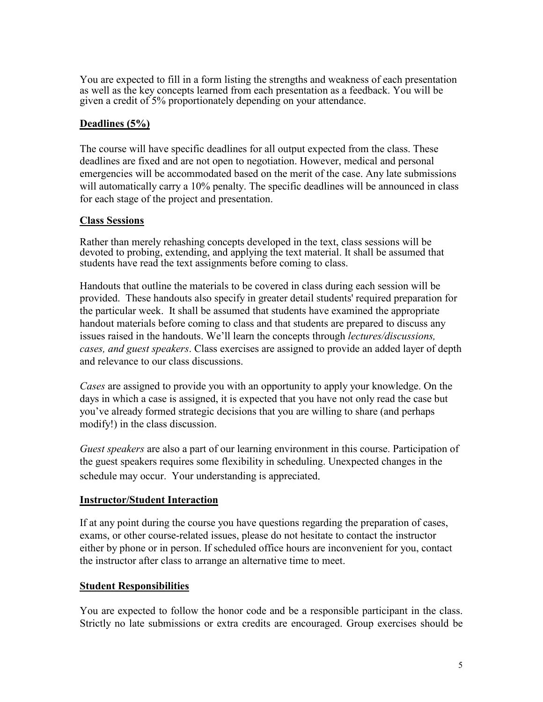You are expected to fill in a form listing the strengths and weakness of each presentation as well as the key concepts learned from each presentation as a feedback. You will be given a credit of 5% proportionately depending on your attendance.

### **Deadlines (5%)**

The course will have specific deadlines for all output expected from the class. These deadlines are fixed and are not open to negotiation. However, medical and personal emergencies will be accommodated based on the merit of the case. Any late submissions will automatically carry a 10% penalty. The specific deadlines will be announced in class for each stage of the project and presentation.

#### **Class Sessions**

Rather than merely rehashing concepts developed in the text, class sessions will be devoted to probing, extending, and applying the text material. It shall be assumed that students have read the text assignments before coming to class.

Handouts that outline the materials to be covered in class during each session will be provided. These handouts also specify in greater detail students' required preparation for the particular week. It shall be assumed that students have examined the appropriate handout materials before coming to class and that students are prepared to discuss any issues raised in the handouts. We'll learn the concepts through *lectures/discussions, cases, and guest speakers*. Class exercises are assigned to provide an added layer of depth and relevance to our class discussions.

*Cases* are assigned to provide you with an opportunity to apply your knowledge. On the days in which a case is assigned, it is expected that you have not only read the case but you've already formed strategic decisions that you are willing to share (and perhaps modify!) in the class discussion.

*Guest speakers* are also a part of our learning environment in this course. Participation of the guest speakers requires some flexibility in scheduling. Unexpected changes in the schedule may occur. Your understanding is appreciated.

#### **Instructor/Student Interaction**

If at any point during the course you have questions regarding the preparation of cases, exams, or other course-related issues, please do not hesitate to contact the instructor either by phone or in person. If scheduled office hours are inconvenient for you, contact the instructor after class to arrange an alternative time to meet.

#### **Student Responsibilities**

You are expected to follow the honor code and be a responsible participant in the class. Strictly no late submissions or extra credits are encouraged. Group exercises should be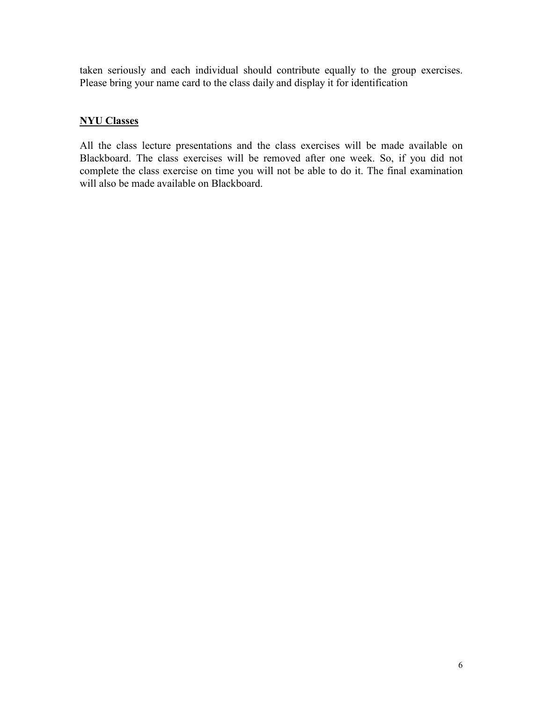taken seriously and each individual should contribute equally to the group exercises. Please bring your name card to the class daily and display it for identification

## **NYU Classes**

All the class lecture presentations and the class exercises will be made available on Blackboard. The class exercises will be removed after one week. So, if you did not complete the class exercise on time you will not be able to do it. The final examination will also be made available on Blackboard.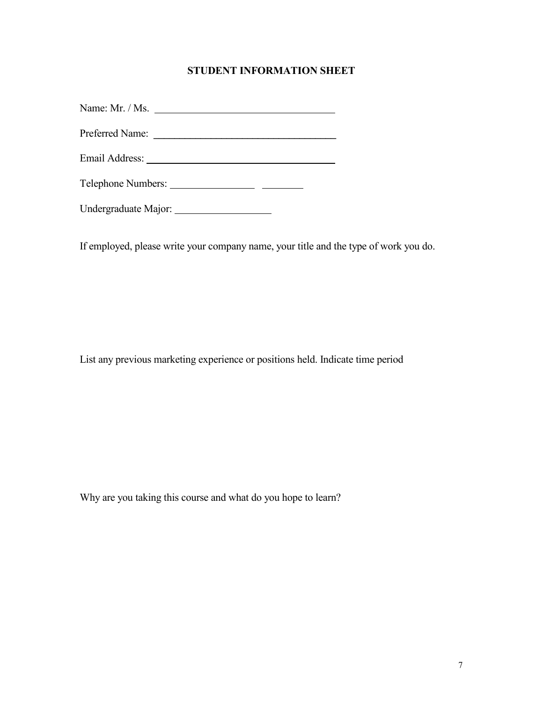## **STUDENT INFORMATION SHEET**

Name: Mr. / Ms. Preferred Name: **\_\_\_\_\_\_\_\_\_\_\_\_\_\_\_\_\_\_\_\_\_\_\_\_\_\_\_\_\_\_\_\_\_\_\_** Email Address: Telephone Numbers: Undergraduate Major:

If employed, please write your company name, your title and the type of work you do.

List any previous marketing experience or positions held. Indicate time period

Why are you taking this course and what do you hope to learn?